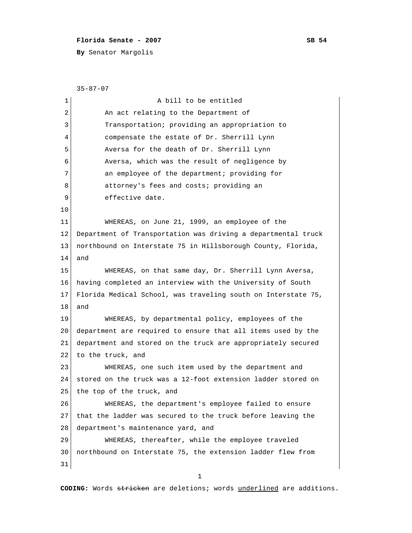## **Florida Senate - 2007** SB 54

**By** Senator Margolis

 35-87-07 1 a bill to be entitled 2 An act relating to the Department of 3 Transportation; providing an appropriation to 4 compensate the estate of Dr. Sherrill Lynn 5 Aversa for the death of Dr. Sherrill Lynn 6 Aversa, which was the result of negligence by 7 an employee of the department; providing for 8 attorney's fees and costs; providing an 9 effective date. 10 11 WHEREAS, on June 21, 1999, an employee of the 12 Department of Transportation was driving a departmental truck 13 northbound on Interstate 75 in Hillsborough County, Florida, 14 and 15 WHEREAS, on that same day, Dr. Sherrill Lynn Aversa, 16 having completed an interview with the University of South 17 Florida Medical School, was traveling south on Interstate 75, 18 and 19 WHEREAS, by departmental policy, employees of the 20 department are required to ensure that all items used by the 21 department and stored on the truck are appropriately secured 22 to the truck, and 23 WHEREAS, one such item used by the department and 24 stored on the truck was a 12-foot extension ladder stored on 25 the top of the truck, and 26 WHEREAS, the department's employee failed to ensure 27 that the ladder was secured to the truck before leaving the 28 department's maintenance yard, and 29 WHEREAS, thereafter, while the employee traveled 30 northbound on Interstate 75, the extension ladder flew from 31

1

**CODING:** Words stricken are deletions; words underlined are additions.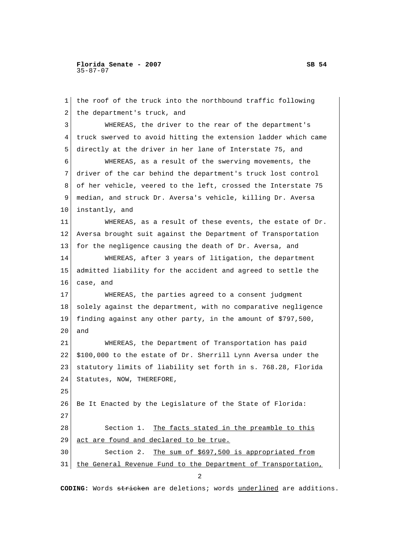**Florida Senate - 2007** SB 54 35-87-07

 1 the roof of the truck into the northbound traffic following 2 the department's truck, and 3 WHEREAS, the driver to the rear of the department's 4 truck swerved to avoid hitting the extension ladder which came 5 directly at the driver in her lane of Interstate 75, and 6 WHEREAS, as a result of the swerving movements, the 7 driver of the car behind the department's truck lost control 8 of her vehicle, veered to the left, crossed the Interstate 75 9 median, and struck Dr. Aversa's vehicle, killing Dr. Aversa 10 instantly, and 11 WHEREAS, as a result of these events, the estate of Dr. 12 Aversa brought suit against the Department of Transportation 13 for the negligence causing the death of Dr. Aversa, and 14 WHEREAS, after 3 years of litigation, the department 15 admitted liability for the accident and agreed to settle the 16 case, and 17 WHEREAS, the parties agreed to a consent judgment 18 solely against the department, with no comparative negligence 19 finding against any other party, in the amount of \$797,500, 20 and 21 WHEREAS, the Department of Transportation has paid 22 \$100,000 to the estate of Dr. Sherrill Lynn Aversa under the 23 statutory limits of liability set forth in s. 768.28, Florida 24 Statutes, NOW, THEREFORE, 25 26 Be It Enacted by the Legislature of the State of Florida: 27 28 Section 1. The facts stated in the preamble to this 29 act are found and declared to be true. 30 Section 2. The sum of \$697,500 is appropriated from 31 the General Revenue Fund to the Department of Transportation,

**CODING:** Words stricken are deletions; words underlined are additions.